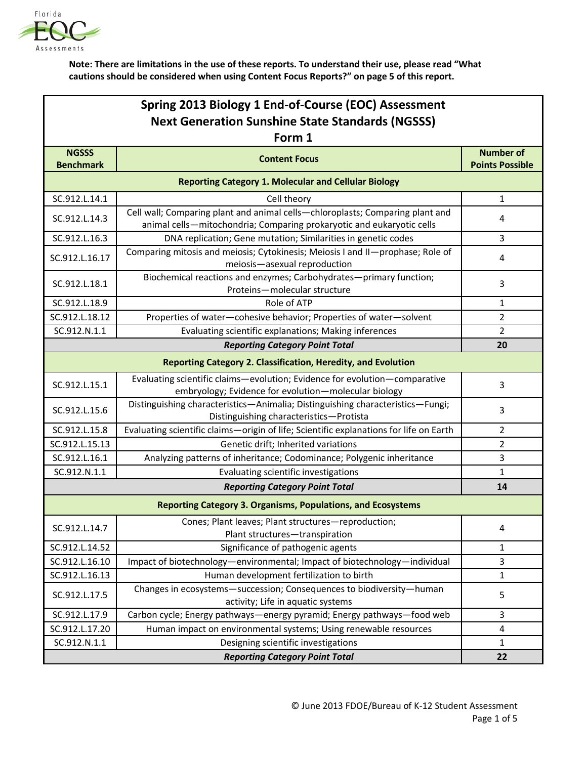

| Spring 2013 Biology 1 End-of-Course (EOC) Assessment<br><b>Next Generation Sunshine State Standards (NGSSS)</b><br>Form 1 |                                                                                                                                                        |                         |  |  |
|---------------------------------------------------------------------------------------------------------------------------|--------------------------------------------------------------------------------------------------------------------------------------------------------|-------------------------|--|--|
| <b>NGSSS</b>                                                                                                              | <b>Content Focus</b>                                                                                                                                   | <b>Number of</b>        |  |  |
| <b>Benchmark</b>                                                                                                          |                                                                                                                                                        | <b>Points Possible</b>  |  |  |
|                                                                                                                           | <b>Reporting Category 1. Molecular and Cellular Biology</b>                                                                                            |                         |  |  |
| SC.912.L.14.1                                                                                                             | Cell theory                                                                                                                                            | $\mathbf{1}$            |  |  |
| SC.912.L.14.3                                                                                                             | Cell wall; Comparing plant and animal cells-chloroplasts; Comparing plant and<br>animal cells-mitochondria; Comparing prokaryotic and eukaryotic cells | 4                       |  |  |
| SC.912.L.16.3                                                                                                             | DNA replication; Gene mutation; Similarities in genetic codes                                                                                          | 3                       |  |  |
| SC.912.L.16.17                                                                                                            | Comparing mitosis and meiosis; Cytokinesis; Meiosis I and II-prophase; Role of<br>meiosis-asexual reproduction                                         | 4                       |  |  |
| SC.912.L.18.1                                                                                                             | Biochemical reactions and enzymes; Carbohydrates-primary function;<br>Proteins-molecular structure                                                     | 3                       |  |  |
| SC.912.L.18.9                                                                                                             | Role of ATP                                                                                                                                            | 1                       |  |  |
| SC.912.L.18.12                                                                                                            | Properties of water-cohesive behavior; Properties of water-solvent                                                                                     | $\overline{2}$          |  |  |
| SC.912.N.1.1                                                                                                              | Evaluating scientific explanations; Making inferences                                                                                                  | $\overline{2}$          |  |  |
|                                                                                                                           | <b>Reporting Category Point Total</b>                                                                                                                  | 20                      |  |  |
|                                                                                                                           | <b>Reporting Category 2. Classification, Heredity, and Evolution</b>                                                                                   |                         |  |  |
| SC.912.L.15.1                                                                                                             | Evaluating scientific claims-evolution; Evidence for evolution-comparative<br>embryology; Evidence for evolution-molecular biology                     | 3                       |  |  |
| SC.912.L.15.6                                                                                                             | Distinguishing characteristics-Animalia; Distinguishing characteristics-Fungi;<br>Distinguishing characteristics-Protista                              | 3                       |  |  |
| SC.912.L.15.8                                                                                                             | Evaluating scientific claims-origin of life; Scientific explanations for life on Earth                                                                 | 2                       |  |  |
| SC.912.L.15.13                                                                                                            | Genetic drift; Inherited variations                                                                                                                    | 2                       |  |  |
| SC.912.L.16.1                                                                                                             | Analyzing patterns of inheritance; Codominance; Polygenic inheritance                                                                                  | 3                       |  |  |
| SC.912.N.1.1                                                                                                              | Evaluating scientific investigations                                                                                                                   | $\mathbf{1}$            |  |  |
|                                                                                                                           | <b>Reporting Category Point Total</b>                                                                                                                  | 14                      |  |  |
|                                                                                                                           | <b>Reporting Category 3. Organisms, Populations, and Ecosystems</b>                                                                                    |                         |  |  |
| SC.912.L.14.7                                                                                                             | Cones; Plant leaves; Plant structures-reproduction;<br>Plant structures-transpiration                                                                  | $\overline{\mathbf{4}}$ |  |  |
| SC.912.L.14.52                                                                                                            | Significance of pathogenic agents                                                                                                                      | $\mathbf 1$             |  |  |
| SC.912.L.16.10                                                                                                            | Impact of biotechnology-environmental; Impact of biotechnology-individual                                                                              | 3                       |  |  |
| SC.912.L.16.13                                                                                                            | Human development fertilization to birth                                                                                                               | $\mathbf{1}$            |  |  |
| SC.912.L.17.5                                                                                                             | Changes in ecosystems-succession; Consequences to biodiversity-human<br>activity; Life in aquatic systems                                              | 5                       |  |  |
| SC.912.L.17.9                                                                                                             | Carbon cycle; Energy pathways-energy pyramid; Energy pathways-food web                                                                                 | 3                       |  |  |
| SC.912.L.17.20                                                                                                            | Human impact on environmental systems; Using renewable resources                                                                                       | 4                       |  |  |
| SC.912.N.1.1                                                                                                              | Designing scientific investigations                                                                                                                    | 1                       |  |  |
|                                                                                                                           | <b>Reporting Category Point Total</b>                                                                                                                  | 22                      |  |  |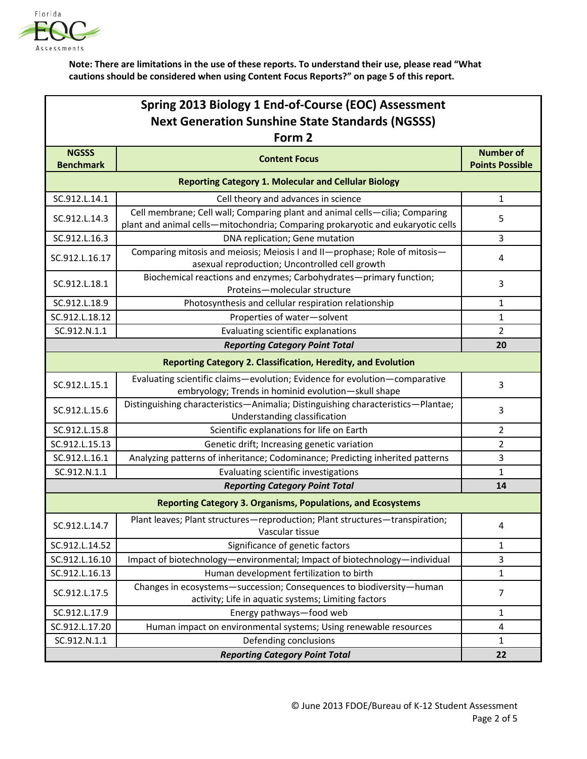

| Spring 2013 Biology 1 End-of-Course (EOC) Assessment<br><b>Next Generation Sunshine State Standards (NGSSS)</b><br>Form 2 |                                                                                                                                                                |                        |  |  |
|---------------------------------------------------------------------------------------------------------------------------|----------------------------------------------------------------------------------------------------------------------------------------------------------------|------------------------|--|--|
| <b>NGSSS</b>                                                                                                              | <b>Content Focus</b>                                                                                                                                           | <b>Number of</b>       |  |  |
| <b>Benchmark</b>                                                                                                          |                                                                                                                                                                | <b>Points Possible</b> |  |  |
| <b>Reporting Category 1. Molecular and Cellular Biology</b>                                                               |                                                                                                                                                                |                        |  |  |
| SC.912.L.14.1                                                                                                             | Cell theory and advances in science                                                                                                                            | $\mathbf{1}$           |  |  |
| SC.912.L.14.3                                                                                                             | Cell membrane; Cell wall; Comparing plant and animal cells-cilia; Comparing<br>plant and animal cells-mitochondria; Comparing prokaryotic and eukaryotic cells | 5                      |  |  |
| SC.912.L.16.3                                                                                                             | DNA replication; Gene mutation                                                                                                                                 | 3                      |  |  |
| SC.912.L.16.17                                                                                                            | Comparing mitosis and meiosis; Meiosis I and II-prophase; Role of mitosis-<br>asexual reproduction; Uncontrolled cell growth                                   | 4                      |  |  |
| SC.912.L.18.1                                                                                                             | Biochemical reactions and enzymes; Carbohydrates-primary function;<br>Proteins-molecular structure                                                             | 3                      |  |  |
| SC.912.L.18.9                                                                                                             | Photosynthesis and cellular respiration relationship                                                                                                           | $\mathbf{1}$           |  |  |
| SC.912.L.18.12                                                                                                            | Properties of water-solvent                                                                                                                                    | $\mathbf{1}$           |  |  |
| SC.912.N.1.1                                                                                                              | Evaluating scientific explanations                                                                                                                             | $\overline{2}$         |  |  |
|                                                                                                                           | <b>Reporting Category Point Total</b>                                                                                                                          | 20                     |  |  |
|                                                                                                                           | <b>Reporting Category 2. Classification, Heredity, and Evolution</b>                                                                                           |                        |  |  |
| SC.912.L.15.1                                                                                                             | Evaluating scientific claims-evolution; Evidence for evolution-comparative<br>embryology; Trends in hominid evolution-skull shape                              | 3                      |  |  |
| SC.912.L.15.6                                                                                                             | Distinguishing characteristics-Animalia; Distinguishing characteristics-Plantae;<br>Understanding classification                                               | 3                      |  |  |
| SC.912.L.15.8                                                                                                             | Scientific explanations for life on Earth                                                                                                                      | 2                      |  |  |
| SC.912.L.15.13                                                                                                            | Genetic drift; Increasing genetic variation                                                                                                                    | 2                      |  |  |
| SC.912.L.16.1                                                                                                             | Analyzing patterns of inheritance; Codominance; Predicting inherited patterns                                                                                  | 3                      |  |  |
| SC.912.N.1.1                                                                                                              | Evaluating scientific investigations                                                                                                                           | $\mathbf{1}$           |  |  |
|                                                                                                                           | <b>Reporting Category Point Total</b>                                                                                                                          | 14                     |  |  |
|                                                                                                                           | <b>Reporting Category 3. Organisms, Populations, and Ecosystems</b>                                                                                            |                        |  |  |
| SC.912.L.14.7                                                                                                             | Plant leaves; Plant structures-reproduction; Plant structures-transpiration;<br>Vascular tissue                                                                | 4                      |  |  |
| SC.912.L.14.52                                                                                                            | Significance of genetic factors                                                                                                                                | $\mathbf{1}$           |  |  |
| SC.912.L.16.10                                                                                                            | Impact of biotechnology-environmental; Impact of biotechnology-individual                                                                                      | 3                      |  |  |
| SC.912.L.16.13                                                                                                            | Human development fertilization to birth                                                                                                                       | $\mathbf{1}$           |  |  |
| SC.912.L.17.5                                                                                                             | Changes in ecosystems-succession; Consequences to biodiversity-human<br>activity; Life in aquatic systems; Limiting factors                                    | $\overline{7}$         |  |  |
| SC.912.L.17.9                                                                                                             | Energy pathways-food web                                                                                                                                       | 1                      |  |  |
| SC.912.L.17.20                                                                                                            | Human impact on environmental systems; Using renewable resources                                                                                               | 4                      |  |  |
| SC.912.N.1.1                                                                                                              | Defending conclusions                                                                                                                                          | $\mathbf{1}$           |  |  |
| <b>Reporting Category Point Total</b>                                                                                     |                                                                                                                                                                |                        |  |  |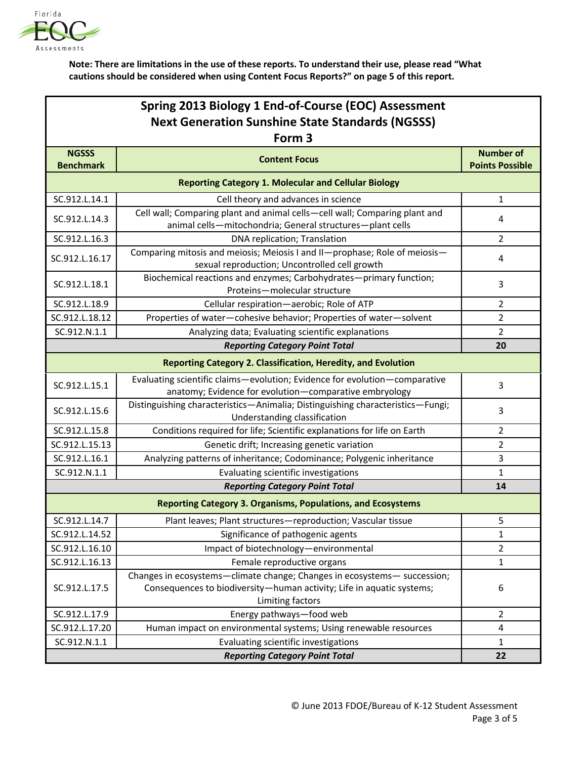

| Spring 2013 Biology 1 End-of-Course (EOC) Assessment    |  |  |  |  |
|---------------------------------------------------------|--|--|--|--|
| <b>Next Generation Sunshine State Standards (NGSSS)</b> |  |  |  |  |
| Form 3                                                  |  |  |  |  |

|                                                                     | FONII 3                                                                                                                                                               |                                            |  |  |
|---------------------------------------------------------------------|-----------------------------------------------------------------------------------------------------------------------------------------------------------------------|--------------------------------------------|--|--|
| <b>NGSSS</b><br><b>Benchmark</b>                                    | <b>Content Focus</b>                                                                                                                                                  | <b>Number of</b><br><b>Points Possible</b> |  |  |
| <b>Reporting Category 1. Molecular and Cellular Biology</b>         |                                                                                                                                                                       |                                            |  |  |
| SC.912.L.14.1                                                       | Cell theory and advances in science                                                                                                                                   | $\mathbf{1}$                               |  |  |
| SC.912.L.14.3                                                       | Cell wall; Comparing plant and animal cells-cell wall; Comparing plant and<br>animal cells-mitochondria; General structures-plant cells                               | 4                                          |  |  |
| SC.912.L.16.3                                                       | DNA replication; Translation                                                                                                                                          | $\overline{2}$                             |  |  |
| SC.912.L.16.17                                                      | Comparing mitosis and meiosis; Meiosis I and II-prophase; Role of meiosis-<br>sexual reproduction; Uncontrolled cell growth                                           | 4                                          |  |  |
| SC.912.L.18.1                                                       | Biochemical reactions and enzymes; Carbohydrates-primary function;<br>Proteins-molecular structure                                                                    | 3                                          |  |  |
| SC.912.L.18.9                                                       | Cellular respiration-aerobic; Role of ATP                                                                                                                             | $\overline{2}$                             |  |  |
| SC.912.L.18.12                                                      | Properties of water-cohesive behavior; Properties of water-solvent                                                                                                    | $\overline{2}$                             |  |  |
| SC.912.N.1.1                                                        | Analyzing data; Evaluating scientific explanations                                                                                                                    | $\overline{2}$                             |  |  |
|                                                                     | <b>Reporting Category Point Total</b>                                                                                                                                 | 20                                         |  |  |
|                                                                     | Reporting Category 2. Classification, Heredity, and Evolution                                                                                                         |                                            |  |  |
| SC.912.L.15.1                                                       | Evaluating scientific claims-evolution; Evidence for evolution-comparative<br>anatomy; Evidence for evolution-comparative embryology                                  | 3                                          |  |  |
| SC.912.L.15.6                                                       | Distinguishing characteristics-Animalia; Distinguishing characteristics-Fungi;<br>Understanding classification                                                        | 3                                          |  |  |
| SC.912.L.15.8                                                       | Conditions required for life; Scientific explanations for life on Earth                                                                                               | $\overline{2}$                             |  |  |
| SC.912.L.15.13                                                      | Genetic drift; Increasing genetic variation                                                                                                                           | $\overline{2}$                             |  |  |
| SC.912.L.16.1                                                       | Analyzing patterns of inheritance; Codominance; Polygenic inheritance                                                                                                 | 3                                          |  |  |
| SC.912.N.1.1                                                        | Evaluating scientific investigations                                                                                                                                  | 1                                          |  |  |
|                                                                     | <b>Reporting Category Point Total</b>                                                                                                                                 | 14                                         |  |  |
| <b>Reporting Category 3. Organisms, Populations, and Ecosystems</b> |                                                                                                                                                                       |                                            |  |  |
| SC.912.L.14.7                                                       | Plant leaves; Plant structures-reproduction; Vascular tissue                                                                                                          | 5                                          |  |  |
| SC.912.L.14.52                                                      | Significance of pathogenic agents                                                                                                                                     | 1                                          |  |  |
| SC.912.L.16.10                                                      | Impact of biotechnology-environmental                                                                                                                                 | 2                                          |  |  |
| SC.912.L.16.13                                                      | Female reproductive organs                                                                                                                                            | 1                                          |  |  |
| SC.912.L.17.5                                                       | Changes in ecosystems-climate change; Changes in ecosystems- succession;<br>Consequences to biodiversity-human activity; Life in aquatic systems;<br>Limiting factors | 6                                          |  |  |
| SC.912.L.17.9                                                       | Energy pathways-food web                                                                                                                                              | $\overline{2}$                             |  |  |
| SC.912.L.17.20                                                      | Human impact on environmental systems; Using renewable resources                                                                                                      | 4                                          |  |  |
| SC.912.N.1.1                                                        | Evaluating scientific investigations                                                                                                                                  | $\mathbf{1}$                               |  |  |
| <b>Reporting Category Point Total</b>                               |                                                                                                                                                                       | 22                                         |  |  |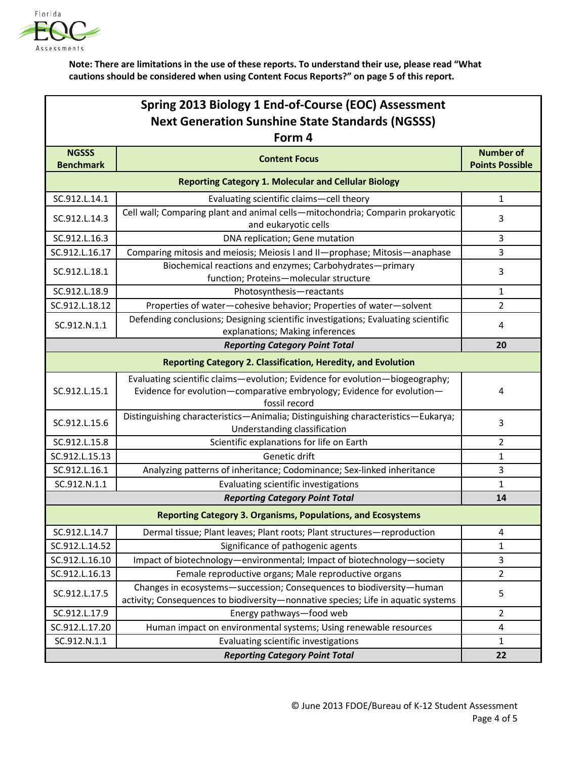

| Spring 2013 Biology 1 End-of-Course (EOC) Assessment<br><b>Next Generation Sunshine State Standards (NGSSS)</b><br>Form 4 |                                                                                                                                                                         |                        |  |  |
|---------------------------------------------------------------------------------------------------------------------------|-------------------------------------------------------------------------------------------------------------------------------------------------------------------------|------------------------|--|--|
| <b>NGSSS</b>                                                                                                              |                                                                                                                                                                         | <b>Number of</b>       |  |  |
| <b>Benchmark</b>                                                                                                          | <b>Content Focus</b>                                                                                                                                                    | <b>Points Possible</b> |  |  |
| <b>Reporting Category 1. Molecular and Cellular Biology</b>                                                               |                                                                                                                                                                         |                        |  |  |
| SC.912.L.14.1                                                                                                             | Evaluating scientific claims-cell theory                                                                                                                                | $\mathbf{1}$           |  |  |
| SC.912.L.14.3                                                                                                             | Cell wall; Comparing plant and animal cells-mitochondria; Comparin prokaryotic<br>and eukaryotic cells                                                                  | 3                      |  |  |
| SC.912.L.16.3                                                                                                             | DNA replication; Gene mutation                                                                                                                                          | 3                      |  |  |
| SC.912.L.16.17                                                                                                            | Comparing mitosis and meiosis; Meiosis I and II-prophase; Mitosis-anaphase                                                                                              | 3                      |  |  |
| SC.912.L.18.1                                                                                                             | Biochemical reactions and enzymes; Carbohydrates-primary<br>function; Proteins-molecular structure                                                                      | 3                      |  |  |
| SC.912.L.18.9                                                                                                             | Photosynthesis-reactants                                                                                                                                                | $\mathbf{1}$           |  |  |
| SC.912.L.18.12                                                                                                            | Properties of water-cohesive behavior; Properties of water-solvent                                                                                                      | 2                      |  |  |
| SC.912.N.1.1                                                                                                              | Defending conclusions; Designing scientific investigations; Evaluating scientific<br>explanations; Making inferences                                                    | 4                      |  |  |
|                                                                                                                           | <b>Reporting Category Point Total</b>                                                                                                                                   | 20                     |  |  |
| <b>Reporting Category 2. Classification, Heredity, and Evolution</b>                                                      |                                                                                                                                                                         |                        |  |  |
| SC.912.L.15.1                                                                                                             | Evaluating scientific claims-evolution; Evidence for evolution-biogeography;<br>Evidence for evolution-comparative embryology; Evidence for evolution-<br>fossil record | 4                      |  |  |
| SC.912.L.15.6                                                                                                             | Distinguishing characteristics-Animalia; Distinguishing characteristics-Eukarya;<br>Understanding classification                                                        | 3                      |  |  |
| SC.912.L.15.8                                                                                                             | Scientific explanations for life on Earth                                                                                                                               | 2                      |  |  |
| SC.912.L.15.13                                                                                                            | Genetic drift                                                                                                                                                           | 1                      |  |  |
| SC.912.L.16.1                                                                                                             | Analyzing patterns of inheritance; Codominance; Sex-linked inheritance                                                                                                  | 3                      |  |  |
| SC.912.N.1.1                                                                                                              | Evaluating scientific investigations                                                                                                                                    | $\mathbf{1}$           |  |  |
|                                                                                                                           | <b>Reporting Category Point Total</b>                                                                                                                                   | 14                     |  |  |
|                                                                                                                           | <b>Reporting Category 3. Organisms, Populations, and Ecosystems</b>                                                                                                     |                        |  |  |
| SC.912.L.14.7                                                                                                             | Dermal tissue; Plant leaves; Plant roots; Plant structures-reproduction                                                                                                 | 4                      |  |  |
| SC.912.L.14.52                                                                                                            | Significance of pathogenic agents                                                                                                                                       | $\mathbf{1}$           |  |  |
| SC.912.L.16.10                                                                                                            | Impact of biotechnology-environmental; Impact of biotechnology-society                                                                                                  | 3                      |  |  |
| SC.912.L.16.13                                                                                                            | Female reproductive organs; Male reproductive organs                                                                                                                    | 2                      |  |  |
| SC.912.L.17.5                                                                                                             | Changes in ecosystems-succession; Consequences to biodiversity-human<br>activity; Consequences to biodiversity-nonnative species; Life in aquatic systems               | 5                      |  |  |
| SC.912.L.17.9                                                                                                             | Energy pathways-food web                                                                                                                                                | 2                      |  |  |
| SC.912.L.17.20                                                                                                            | Human impact on environmental systems; Using renewable resources                                                                                                        | $\overline{4}$         |  |  |
| SC.912.N.1.1                                                                                                              | Evaluating scientific investigations                                                                                                                                    | 1                      |  |  |
| <b>Reporting Category Point Total</b>                                                                                     |                                                                                                                                                                         | 22                     |  |  |